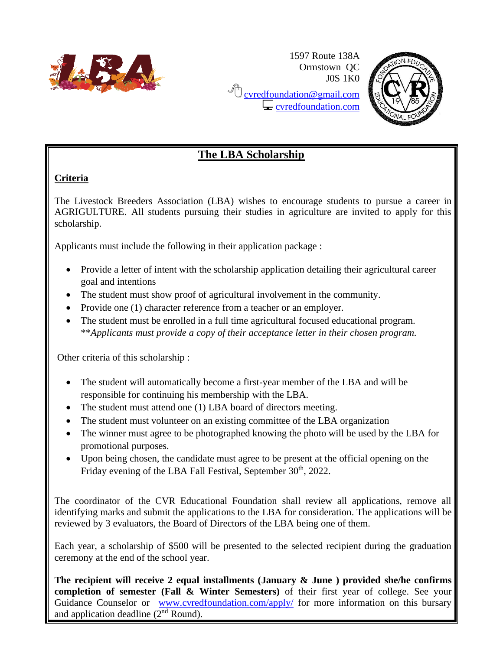

1597 Route 138A Ormstown QC J0S 1K0 **C** [cvredfoundation@gmail.com](mailto:cvredfoundation@gmail.com)  $\Box$  [cvredfoundation.com](http://www.cvredfoundation.com/)



### **The LBA Scholarship**

#### **Criteria**

The Livestock Breeders Association (LBA) wishes to encourage students to pursue a career in AGRIGULTURE. All students pursuing their studies in agriculture are invited to apply for this scholarship.

Applicants must include the following in their application package :

- Provide a letter of intent with the scholarship application detailing their agricultural career goal and intentions
- The student must show proof of agricultural involvement in the community.
- Provide one (1) character reference from a teacher or an employer.
- The student must be enrolled in a full time agricultural focused educational program. \*\**Applicants must provide a copy of their acceptance letter in their chosen program.*

Other criteria of this scholarship :

- The student will automatically become a first-year member of the LBA and will be responsible for continuing his membership with the LBA.
- The student must attend one (1) LBA board of directors meeting.
- The student must volunteer on an existing committee of the LBA organization
- The winner must agree to be photographed knowing the photo will be used by the LBA for promotional purposes.
- Upon being chosen, the candidate must agree to be present at the official opening on the Friday evening of the LBA Fall Festival, September 30<sup>th</sup>, 2022.

The coordinator of the CVR Educational Foundation shall review all applications, remove all identifying marks and submit the applications to the LBA for consideration. The applications will be reviewed by 3 evaluators, the Board of Directors of the LBA being one of them.

Each year, a scholarship of \$500 will be presented to the selected recipient during the graduation ceremony at the end of the school year.

**The recipient will receive 2 equal installments (January & June ) provided she/he confirms completion of semester (Fall & Winter Semesters)** of their first year of college. See your Guidance Counselor or [www.cvredfoundation.com/apply/](http://www.cvredfoundation.com/apply/) for more information on this bursary and application deadline  $(2<sup>nd</sup>$  Round).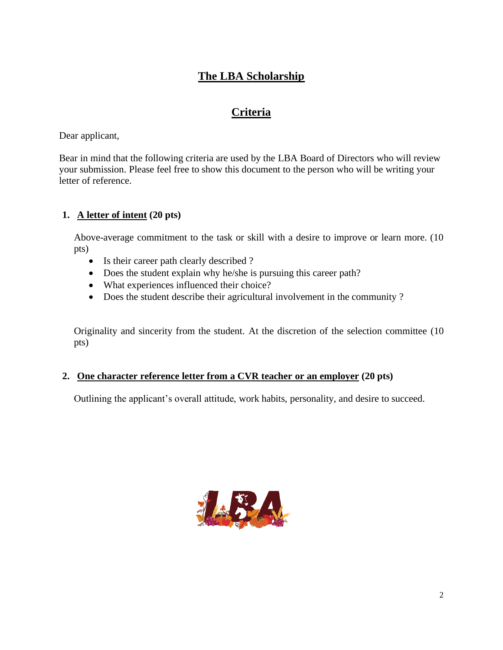# **The LBA Scholarship**

# **Criteria**

Dear applicant,

Bear in mind that the following criteria are used by the LBA Board of Directors who will review your submission. Please feel free to show this document to the person who will be writing your letter of reference.

### **1. A letter of intent (20 pts)**

Above-average commitment to the task or skill with a desire to improve or learn more. (10 pts)

- Is their career path clearly described ?
- Does the student explain why he/she is pursuing this career path?
- What experiences influenced their choice?
- Does the student describe their agricultural involvement in the community ?

Originality and sincerity from the student. At the discretion of the selection committee (10 pts)

### **2. One character reference letter from a CVR teacher or an employer (20 pts)**

Outlining the applicant's overall attitude, work habits, personality, and desire to succeed.